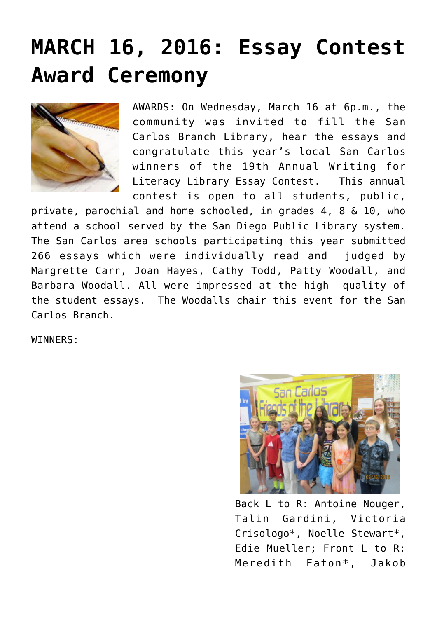## **[MARCH 16, 2016: Essay Contest](https://sancarlosfriendsofthelibrary.org/2016/03/17/march-16-essay-contest-award-ceremony/) [Award Ceremony](https://sancarlosfriendsofthelibrary.org/2016/03/17/march-16-essay-contest-award-ceremony/)**



AWARDS: On Wednesday, March 16 at 6p.m., the community was invited to fill the San Carlos Branch Library, hear the essays and congratulate this year's local San Carlos winners of the 19th Annual Writing for Literacy Library Essay Contest. This annual contest is open to all students, public,

private, parochial and home schooled, in grades 4, 8 & 10, who attend a school served by the San Diego Public Library system. The San Carlos area schools participating this year submitted 266 essays which were individually read and judged by Margrette Carr, Joan Hayes, Cathy Todd, Patty Woodall, and Barbara Woodall. All were impressed at the high quality of the student essays. The Woodalls chair this event for the San Carlos Branch.

WINNERS:



Back L to R: Antoine Nouger, Talin Gardini, Victoria Crisologo\*, Noelle Stewart\*, Edie Mueller; Front L to R: Meredith Eaton\*, Jakob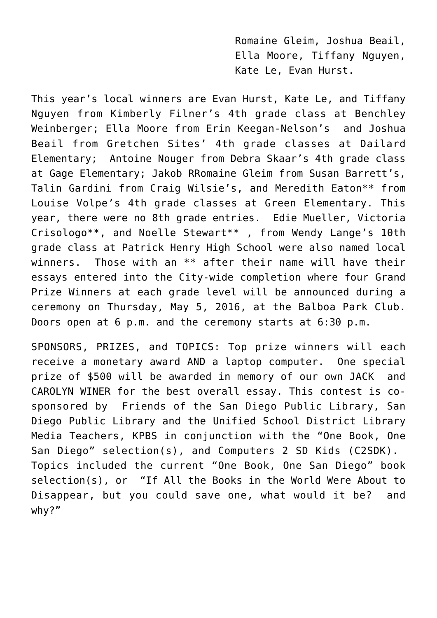Romaine Gleim, Joshua Beail, Ella Moore, Tiffany Nguyen, Kate Le, Evan Hurst.

This year's local winners are Evan Hurst, Kate Le, and Tiffany Nguyen from Kimberly Filner's 4th grade class at Benchley Weinberger; Ella Moore from Erin Keegan-Nelson's and Joshua Beail from Gretchen Sites' 4th grade classes at Dailard Elementary; Antoine Nouger from Debra Skaar's 4th grade class at Gage Elementary; Jakob RRomaine Gleim from Susan Barrett's, Talin Gardini from Craig Wilsie's, and Meredith Eaton\*\* from Louise Volpe's 4th grade classes at Green Elementary. This year, there were no 8th grade entries. Edie Mueller, Victoria Crisologo\*\*, and Noelle Stewart\*\* , from Wendy Lange's 10th grade class at Patrick Henry High School were also named local winners. Those with an \*\* after their name will have their essays entered into the City-wide completion where four Grand Prize Winners at each grade level will be announced during a ceremony on Thursday, May 5, 2016, at the Balboa Park Club. Doors open at 6 p.m. and the ceremony starts at 6:30 p.m.

SPONSORS, PRIZES, and TOPICS: Top prize winners will each receive a monetary award AND a laptop computer. One special prize of \$500 will be awarded in memory of our own JACK and CAROLYN WINER for the best overall essay. This contest is cosponsored by Friends of the San Diego Public Library, San Diego Public Library and the Unified School District Library Media Teachers, KPBS in conjunction with the "One Book, One San Diego" selection(s), and Computers 2 SD Kids (C2SDK). Topics included the current "One Book, One San Diego" book selection(s), or "If All the Books in the World Were About to Disappear, but you could save one, what would it be? and why?"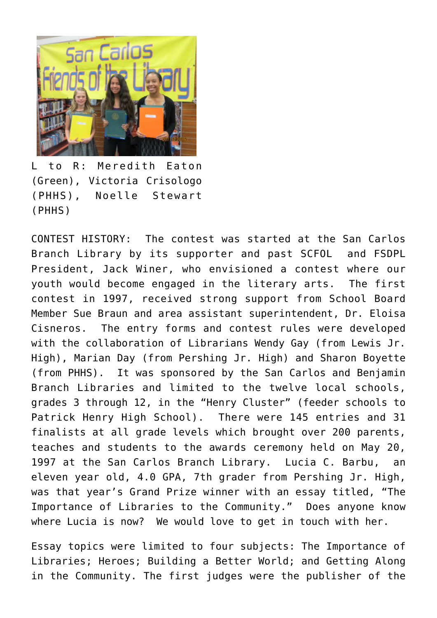

L to R: Meredith Eaton (Green), Victoria Crisologo (PHHS), Noelle Stewart (PHHS)

CONTEST HISTORY: The contest was started at the San Carlos Branch Library by its supporter and past SCFOL and FSDPL President, Jack Winer, who envisioned a contest where our youth would become engaged in the literary arts. The first contest in 1997, received strong support from School Board Member Sue Braun and area assistant superintendent, Dr. Eloisa Cisneros. The entry forms and contest rules were developed with the collaboration of Librarians Wendy Gay (from Lewis Jr. High), Marian Day (from Pershing Jr. High) and Sharon Boyette (from PHHS). It was sponsored by the San Carlos and Benjamin Branch Libraries and limited to the twelve local schools, grades 3 through 12, in the "Henry Cluster" (feeder schools to Patrick Henry High School). There were 145 entries and 31 finalists at all grade levels which brought over 200 parents, teaches and students to the awards ceremony held on May 20, 1997 at the San Carlos Branch Library. Lucia C. Barbu, an eleven year old, 4.0 GPA, 7th grader from Pershing Jr. High, was that year's Grand Prize winner with an essay titled, "The Importance of Libraries to the Community." Does anyone know where Lucia is now? We would love to get in touch with her.

Essay topics were limited to four subjects: The Importance of Libraries; Heroes; Building a Better World; and Getting Along in the Community. The first judges were the publisher of the